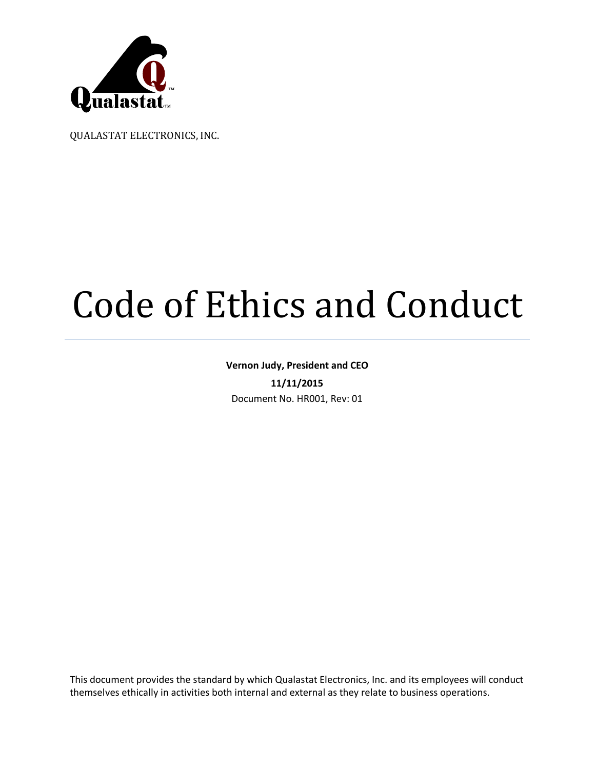

QUALASTAT ELECTRONICS, INC.

# Code of Ethics and Conduct

# **Vernon Judy, President and CEO 11/11/2015** Document No. HR001, Rev: 01

This document provides the standard by which Qualastat Electronics, Inc. and its employees will conduct themselves ethically in activities both internal and external as they relate to business operations.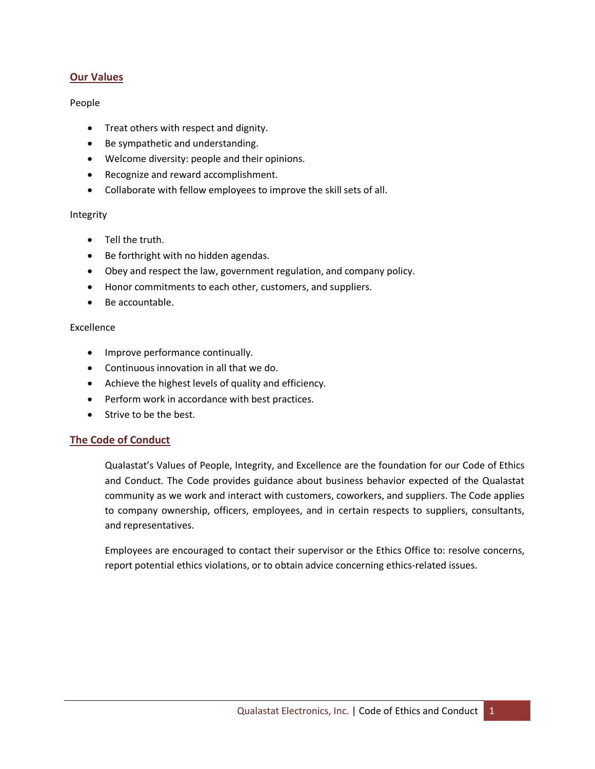# **Our Values**

#### People

- · Treat others with respect and dignity.
- · Be sympathetic and understanding.
- · Welcome diversity: people and their opinions.
- · Recognize and reward accomplishment.
- · Collaborate with fellow employees to improve the skill sets of all.

#### Integrity

- · Tell the truth.
- · Be forthright with no hidden agendas.
- · Obey and respect the law, government regulation, and company policy.
- · Honor commitments to each other, customers, and suppliers.
- · Be accountable.

#### Excellence

- · Improve performance continually.
- · Continuous innovation in all that we do.
- · Achieve the highest levels of quality and efficiency.
- · Perform work in accordance with best practices.
- · Strive to be the best.

# **The Code of Conduct**

Qualastat's Values of People, Integrity, and Excellence are the foundation for our Code of Ethics and Conduct. The Code provides guidance about business behavior expected of the Qualastat community as we work and interact with customers, coworkers, and suppliers. The Code applies to company ownership, officers, employees, and in certain respects to suppliers, consultants, and representatives.

Employees are encouraged to contact their supervisor or the Ethics Office to: resolve concerns, report potential ethics violations, or to obtain advice concerning ethics-related issues.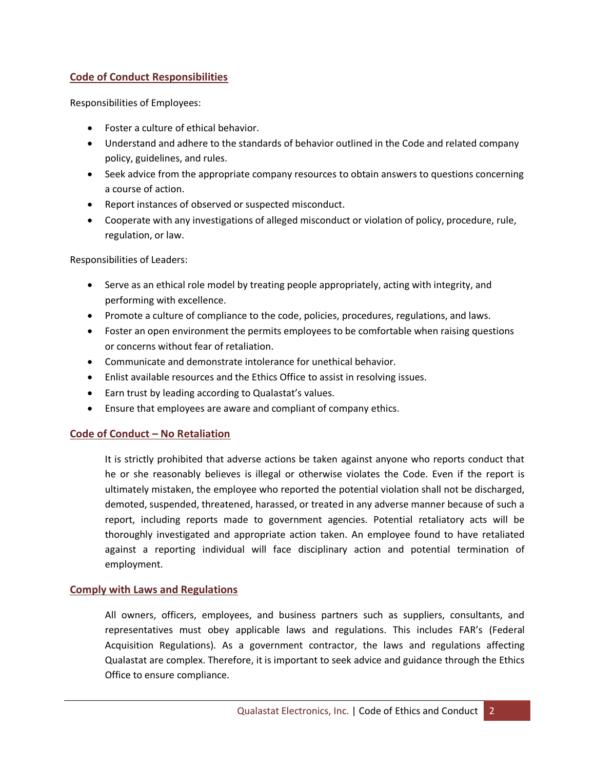# **Code of Conduct Responsibilities**

Responsibilities of Employees:

- · Foster a culture of ethical behavior.
- · Understand and adhere to the standards of behavior outlined in the Code and related company policy, guidelines, and rules.
- · Seek advice from the appropriate company resources to obtain answers to questions concerning a course of action.
- · Report instances of observed or suspected misconduct.
- · Cooperate with any investigations of alleged misconduct or violation of policy, procedure, rule, regulation, or law.

Responsibilities of Leaders:

- · Serve as an ethical role model by treating people appropriately, acting with integrity, and performing with excellence.
- · Promote a culture of compliance to the code, policies, procedures, regulations, and laws.
- · Foster an open environment the permits employees to be comfortable when raising questions or concerns without fear of retaliation.
- · Communicate and demonstrate intolerance for unethical behavior.
- · Enlist available resources and the Ethics Office to assist in resolving issues.
- · Earn trust by leading according to Qualastat's values.
- · Ensure that employees are aware and compliant of company ethics.

# **Code of Conduct – No Retaliation**

It is strictly prohibited that adverse actions be taken against anyone who reports conduct that he or she reasonably believes is illegal or otherwise violates the Code. Even if the report is ultimately mistaken, the employee who reported the potential violation shall not be discharged, demoted, suspended, threatened, harassed, or treated in any adverse manner because of such a report, including reports made to government agencies. Potential retaliatory acts will be thoroughly investigated and appropriate action taken. An employee found to have retaliated against a reporting individual will face disciplinary action and potential termination of employment.

# **Comply with Laws and Regulations**

All owners, officers, employees, and business partners such as suppliers, consultants, and representatives must obey applicable laws and regulations. This includes FAR's (Federal Acquisition Regulations). As a government contractor, the laws and regulations affecting Qualastat are complex. Therefore, it is important to seek advice and guidance through the Ethics Office to ensure compliance.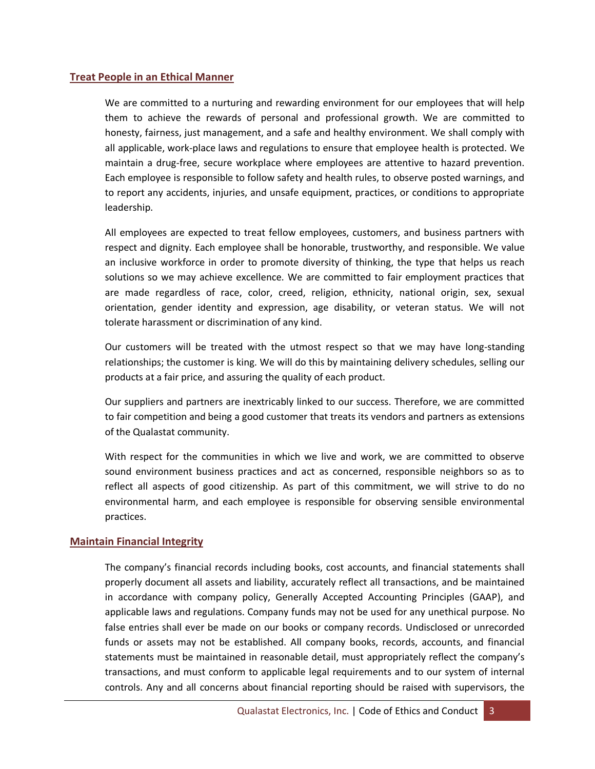# **Treat People in an Ethical Manner**

We are committed to a nurturing and rewarding environment for our employees that will help them to achieve the rewards of personal and professional growth. We are committed to honesty, fairness, just management, and a safe and healthy environment. We shall comply with all applicable, work-place laws and regulations to ensure that employee health is protected. We maintain a drug-free, secure workplace where employees are attentive to hazard prevention. Each employee is responsible to follow safety and health rules, to observe posted warnings, and to report any accidents, injuries, and unsafe equipment, practices, or conditions to appropriate leadership.

All employees are expected to treat fellow employees, customers, and business partners with respect and dignity. Each employee shall be honorable, trustworthy, and responsible. We value an inclusive workforce in order to promote diversity of thinking, the type that helps us reach solutions so we may achieve excellence. We are committed to fair employment practices that are made regardless of race, color, creed, religion, ethnicity, national origin, sex, sexual orientation, gender identity and expression, age disability, or veteran status. We will not tolerate harassment or discrimination of any kind.

Our customers will be treated with the utmost respect so that we may have long-standing relationships; the customer is king. We will do this by maintaining delivery schedules, selling our products at a fair price, and assuring the quality of each product.

Our suppliers and partners are inextricably linked to our success. Therefore, we are committed to fair competition and being a good customer that treats its vendors and partners as extensions of the Qualastat community.

With respect for the communities in which we live and work, we are committed to observe sound environment business practices and act as concerned, responsible neighbors so as to reflect all aspects of good citizenship. As part of this commitment, we will strive to do no environmental harm, and each employee is responsible for observing sensible environmental practices.

# **Maintain Financial Integrity**

The company's financial records including books, cost accounts, and financial statements shall properly document all assets and liability, accurately reflect all transactions, and be maintained in accordance with company policy, Generally Accepted Accounting Principles (GAAP), and applicable laws and regulations. Company funds may not be used for any unethical purpose. No false entries shall ever be made on our books or company records. Undisclosed or unrecorded funds or assets may not be established. All company books, records, accounts, and financial statements must be maintained in reasonable detail, must appropriately reflect the company's transactions, and must conform to applicable legal requirements and to our system of internal controls. Any and all concerns about financial reporting should be raised with supervisors, the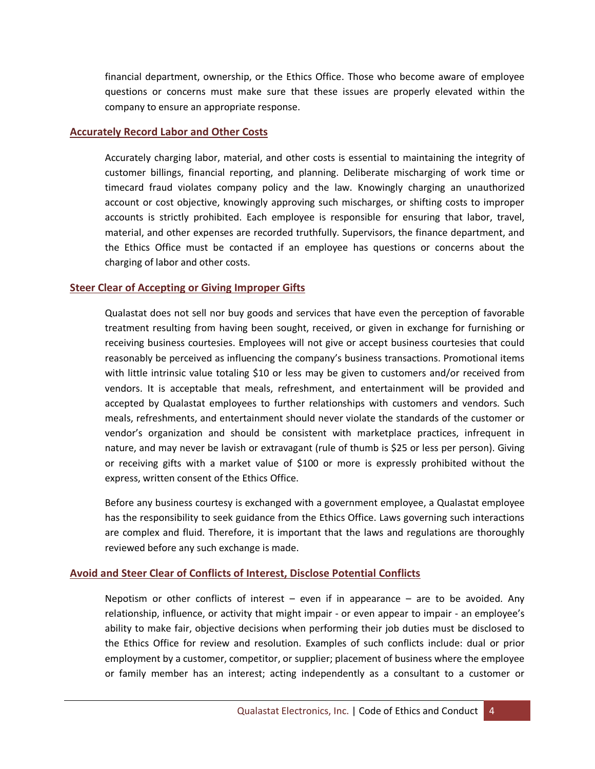financial department, ownership, or the Ethics Office. Those who become aware of employee questions or concerns must make sure that these issues are properly elevated within the company to ensure an appropriate response.

# **Accurately Record Labor and Other Costs**

Accurately charging labor, material, and other costs is essential to maintaining the integrity of customer billings, financial reporting, and planning. Deliberate mischarging of work time or timecard fraud violates company policy and the law. Knowingly charging an unauthorized account or cost objective, knowingly approving such mischarges, or shifting costs to improper accounts is strictly prohibited. Each employee is responsible for ensuring that labor, travel, material, and other expenses are recorded truthfully. Supervisors, the finance department, and the Ethics Office must be contacted if an employee has questions or concerns about the charging of labor and other costs.

#### **Steer Clear of Accepting or Giving Improper Gifts**

Qualastat does not sell nor buy goods and services that have even the perception of favorable treatment resulting from having been sought, received, or given in exchange for furnishing or receiving business courtesies. Employees will not give or accept business courtesies that could reasonably be perceived as influencing the company's business transactions. Promotional items with little intrinsic value totaling \$10 or less may be given to customers and/or received from vendors. It is acceptable that meals, refreshment, and entertainment will be provided and accepted by Qualastat employees to further relationships with customers and vendors. Such meals, refreshments, and entertainment should never violate the standards of the customer or vendor's organization and should be consistent with marketplace practices, infrequent in nature, and may never be lavish or extravagant (rule of thumb is \$25 or less per person). Giving or receiving gifts with a market value of \$100 or more is expressly prohibited without the express, written consent of the Ethics Office.

Before any business courtesy is exchanged with a government employee, a Qualastat employee has the responsibility to seek guidance from the Ethics Office. Laws governing such interactions are complex and fluid. Therefore, it is important that the laws and regulations are thoroughly reviewed before any such exchange is made.

# **Avoid and Steer Clear of Conflicts of Interest, Disclose Potential Conflicts**

Nepotism or other conflicts of interest  $-$  even if in appearance  $-$  are to be avoided. Any relationship, influence, or activity that might impair - or even appear to impair - an employee's ability to make fair, objective decisions when performing their job duties must be disclosed to the Ethics Office for review and resolution. Examples of such conflicts include: dual or prior employment by a customer, competitor, or supplier; placement of business where the employee or family member has an interest; acting independently as a consultant to a customer or